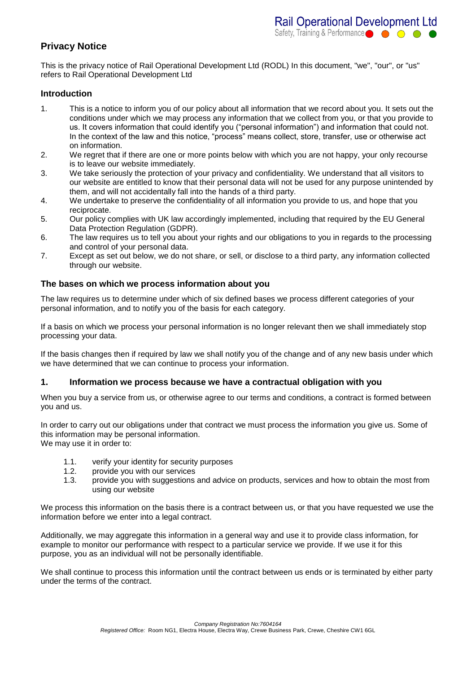# **Privacy Notice**

This is the privacy notice of Rail Operational Development Ltd (RODL) In this document, "we", "our", or "us" refers to Rail Operational Development Ltd

# **Introduction**

- 1. This is a notice to inform you of our policy about all information that we record about you. It sets out the conditions under which we may process any information that we collect from you, or that you provide to us. It covers information that could identify you ("personal information") and information that could not. In the context of the law and this notice, "process" means collect, store, transfer, use or otherwise act on information.
- 2. We regret that if there are one or more points below with which you are not happy, your only recourse is to leave our website immediately.
- 3. We take seriously the protection of your privacy and confidentiality. We understand that all visitors to our website are entitled to know that their personal data will not be used for any purpose unintended by them, and will not accidentally fall into the hands of a third party.
- 4. We undertake to preserve the confidentiality of all information you provide to us, and hope that you reciprocate.
- 5. Our policy complies with UK law accordingly implemented, including that required by the EU General Data Protection Regulation (GDPR).
- 6. The law requires us to tell you about your rights and our obligations to you in regards to the processing and control of your personal data.
- 7. Except as set out below, we do not share, or sell, or disclose to a third party, any information collected through our website.

# **The bases on which we process information about you**

The law requires us to determine under which of six defined bases we process different categories of your personal information, and to notify you of the basis for each category.

If a basis on which we process your personal information is no longer relevant then we shall immediately stop processing your data.

If the basis changes then if required by law we shall notify you of the change and of any new basis under which we have determined that we can continue to process your information.

### **1. Information we process because we have a contractual obligation with you**

When you buy a service from us, or otherwise agree to our terms and conditions, a contract is formed between you and us.

In order to carry out our obligations under that contract we must process the information you give us. Some of this information may be personal information. We may use it in order to:

- 1.1. verify your identity for security purposes
- 1.2. provide you with our services
- 1.3. provide you with suggestions and advice on products, services and how to obtain the most from using our website

We process this information on the basis there is a contract between us, or that you have requested we use the information before we enter into a legal contract.

Additionally, we may aggregate this information in a general way and use it to provide class information, for example to monitor our performance with respect to a particular service we provide. If we use it for this purpose, you as an individual will not be personally identifiable.

We shall continue to process this information until the contract between us ends or is terminated by either party under the terms of the contract.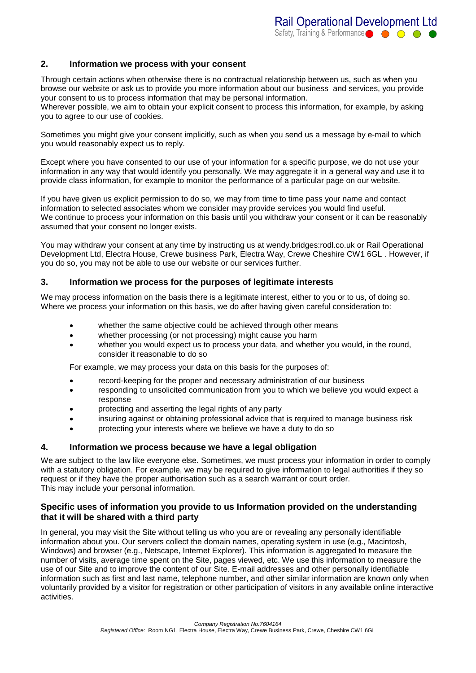# **2. Information we process with your consent**

Through certain actions when otherwise there is no contractual relationship between us, such as when you browse our website or ask us to provide you more information about our business and services, you provide your consent to us to process information that may be personal information.

Wherever possible, we aim to obtain your explicit consent to process this information, for example, by asking you to agree to our use of cookies.

Sometimes you might give your consent implicitly, such as when you send us a message by e-mail to which you would reasonably expect us to reply.

Except where you have consented to our use of your information for a specific purpose, we do not use your information in any way that would identify you personally. We may aggregate it in a general way and use it to provide class information, for example to monitor the performance of a particular page on our website.

If you have given us explicit permission to do so, we may from time to time pass your name and contact information to selected associates whom we consider may provide services you would find useful. We continue to process your information on this basis until you withdraw your consent or it can be reasonably assumed that your consent no longer exists.

You may withdraw your consent at any time by instructing us at wendy.bridges:rodl.co.uk or Rail Operational Development Ltd, Electra House, Crewe business Park, Electra Way, Crewe Cheshire CW1 6GL . However, if you do so, you may not be able to use our website or our services further.

### **3. Information we process for the purposes of legitimate interests**

We may process information on the basis there is a legitimate interest, either to you or to us, of doing so. Where we process your information on this basis, we do after having given careful consideration to:

- whether the same objective could be achieved through other means
- whether processing (or not processing) might cause you harm
- whether you would expect us to process your data, and whether you would, in the round, consider it reasonable to do so

For example, we may process your data on this basis for the purposes of:

- record-keeping for the proper and necessary administration of our business
- responding to unsolicited communication from you to which we believe you would expect a response
- protecting and asserting the legal rights of any party
- insuring against or obtaining professional advice that is required to manage business risk
- protecting your interests where we believe we have a duty to do so

#### **4. Information we process because we have a legal obligation**

We are subject to the law like everyone else. Sometimes, we must process your information in order to comply with a statutory obligation. For example, we may be required to give information to legal authorities if they so request or if they have the proper authorisation such as a search warrant or court order. This may include your personal information.

### **Specific uses of information you provide to us Information provided on the understanding that it will be shared with a third party**

In general, you may visit the Site without telling us who you are or revealing any personally identifiable information about you. Our servers collect the domain names, operating system in use (e.g., Macintosh, Windows) and browser (e.g., Netscape, Internet Explorer). This information is aggregated to measure the number of visits, average time spent on the Site, pages viewed, etc. We use this information to measure the use of our Site and to improve the content of our Site. E-mail addresses and other personally identifiable information such as first and last name, telephone number, and other similar information are known only when voluntarily provided by a visitor for registration or other participation of visitors in any available online interactive activities.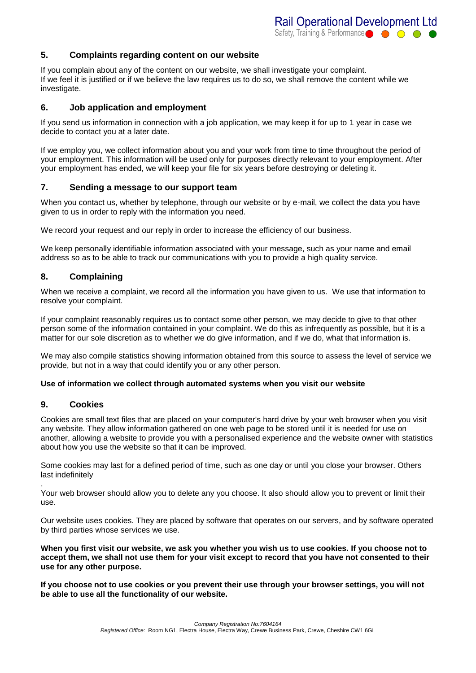# **5. Complaints regarding content on our website**

If you complain about any of the content on our website, we shall investigate your complaint. If we feel it is justified or if we believe the law requires us to do so, we shall remove the content while we investigate.

# **6. Job application and employment**

If you send us information in connection with a job application, we may keep it for up to 1 year in case we decide to contact you at a later date.

If we employ you, we collect information about you and your work from time to time throughout the period of your employment. This information will be used only for purposes directly relevant to your employment. After your employment has ended, we will keep your file for six years before destroying or deleting it.

### **7. Sending a message to our support team**

When you contact us, whether by telephone, through our website or by e-mail, we collect the data you have given to us in order to reply with the information you need.

We record your request and our reply in order to increase the efficiency of our business.

We keep personally identifiable information associated with your message, such as your name and email address so as to be able to track our communications with you to provide a high quality service.

# **8. Complaining**

When we receive a complaint, we record all the information you have given to us. We use that information to resolve your complaint.

If your complaint reasonably requires us to contact some other person, we may decide to give to that other person some of the information contained in your complaint. We do this as infrequently as possible, but it is a matter for our sole discretion as to whether we do give information, and if we do, what that information is.

We may also compile statistics showing information obtained from this source to assess the level of service we provide, but not in a way that could identify you or any other person.

### **Use of information we collect through automated systems when you visit our website**

### **9. Cookies**

Cookies are small text files that are placed on your computer's hard drive by your web browser when you visit any website. They allow information gathered on one web page to be stored until it is needed for use on another, allowing a website to provide you with a personalised experience and the website owner with statistics about how you use the website so that it can be improved.

Some cookies may last for a defined period of time, such as one day or until you close your browser. Others last indefinitely

. Your web browser should allow you to delete any you choose. It also should allow you to prevent or limit their use.

Our website uses cookies. They are placed by software that operates on our servers, and by software operated by third parties whose services we use.

**When you first visit our website, we ask you whether you wish us to use cookies. If you choose not to accept them, we shall not use them for your visit except to record that you have not consented to their use for any other purpose.**

**If you choose not to use cookies or you prevent their use through your browser settings, you will not be able to use all the functionality of our website.**